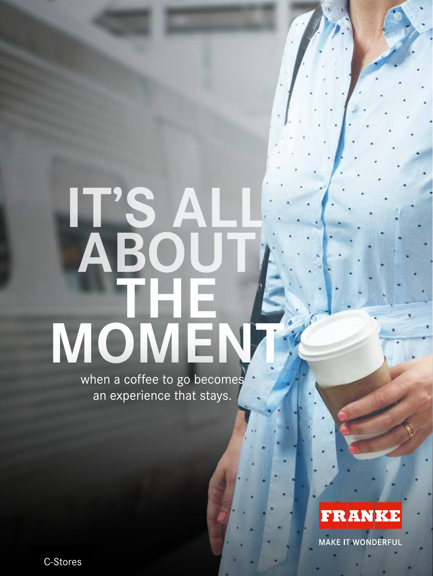# **IT'S ALL ABOUT THE MOMENT**

when a coffee to go becomes an experience that stays.



MAKE IT WONDERFUL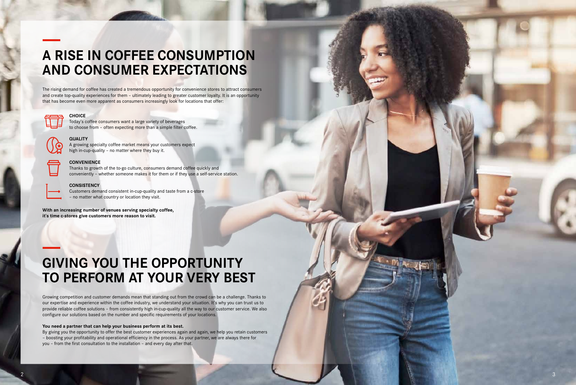The rising demand for coffee has created a tremendous opportunity for convenience stores to attract consumers and create top-quality experiences for them – ultimately leading to greater customer loyalty. It is an opportunity that has become even more apparent as consumers increasingly look for locations that offer:



**With an increasing number of venues serving specialty coffee, it's time c-stores give customers more reason to visit.**

### **A RISE IN COFFEE CONSUMPTION AND CONSUMER EXPECTATIONS**

#### **CHOICE**

Today's coffee consumers want a large variety of beverages to choose from – often expecting more than a simple filter coffee.



**QUALITY** 

#### A growing specialty coffee market means your customers expect

high in-cup-quality – no matter where they buy it.



#### **CONSISTENCY**

Customers demand consistent in-cup-quality and taste from a c-store – no matter what country or location they visit.

## **GIVING YOU THE OPPORTUNITY TO PERFORM AT YOUR VERY BEST**

Growing competition and customer demands mean that standing out from the crowd can be a challenge. Thanks to our expertise and experience within the coffee industry, we understand your situation. It's why you can trust us to provide reliable coffee solutions – from consistently high in-cup-quality all the way to our customer service. We also configure our solutions based on the number and specific requirements of your locations.

#### **You need a partner that can help your business perform at its best.**

By giving you the opportunity to offer the best customer experiences again and again, we help you retain customers – boosting your profitability and operational efficiency in the process. As your partner, we are always there for you – from the first consultation to the installation – and every day after that.

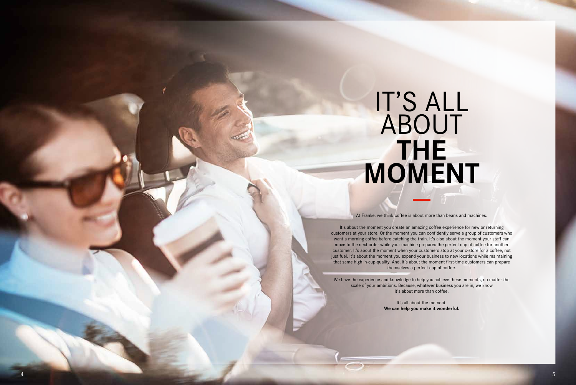## **THE MOMENT** IT'S ALL ABOUT

At Franke, we think coffee is about more than beans and machines.

It's about the moment you create an amazing coffee experience for new or returning customers at your store. Or the moment you can confidently serve a group of customers who want a morning coffee before catching the train. It's also about the moment your staff can move to the next order while your machine prepares the perfect cup of coffee for another customer. It's about the moment when your customers stop at your c-store for a coffee, not just fuel. It's about the moment you expand your business to new locations while maintaining that same high in-cup-quality. And, it's about the moment first-time customers can prepare themselves a perfect cup of coffee.

We have the experience and knowledge to help you achieve these moments, no matter the scale of your ambitions. Because, whatever business you are in, we know it's about more than coffee.

> It's all about the moment. **We can help you make it wonderful.**

4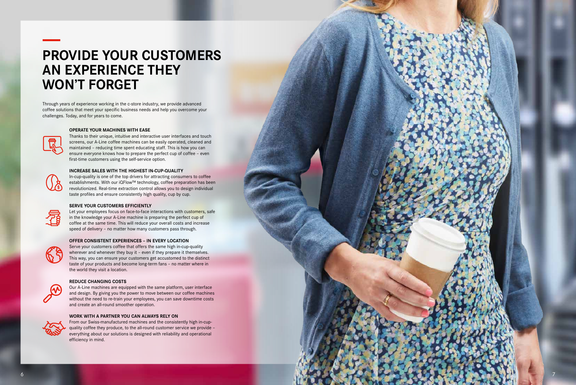Through years of experience working in the c-store industry, we provide advanced coffee solutions that meet your specific business needs and help you overcome your challenges. Today, and for years to come.



## **PROVIDE YOUR CUSTOMERS AN EXPERIENCE THEY WON'T FORGET**

#### **OPERATE YOUR MACHINES WITH EASE**

Thanks to their unique, intuitive and interactive user interfaces and touch screens, our A-Line coffee machines can be easily operated, cleaned and maintained – reducing time spent educating staff. This is how you can ensure everyone knows how to prepare the perfect cup of coffee – even first-time customers using the self-service option.

Let your employees focus on face-to-face interactions with customers, safe in the knowledge your A-Line machine is preparing the perfect cup of coffee at the same time. This will reduce your overall costs and increase speed of delivery – no matter how many customers pass through.

#### **INCREASE SALES WITH THE HIGHEST IN-CUP-QUALITY**

In-cup-quality is one of the top drivers for attracting consumers to coffee establishments. With our iQFlow™ technology, coffee preparation has been revolutionized. Real-time extraction control allows you to design individual taste profiles and ensure consistently high quality, cup by cup.

#### **SERVE YOUR CUSTOMERS EFFICIENTLY**

#### **OFFER CONSISTENT EXPERIENCES – IN EVERY LOCATION**

Serve your customers coffee that offers the same high in-cup-quality wherever and whenever they buy it – even if they prepare it themselves. This way, you can ensure your customers get accustomed to the distinct taste of your products and become long-term fans – no matter where in the world they visit a location.

#### **REDUCE CHANGING COSTS**

Our A-Line machines are equipped with the same platform, user interface and design. By giving you the power to move between our coffee machines without the need to re-train your employees, you can save downtime costs and create an all-round smoother operation.

#### **WORK WITH A PARTNER YOU CAN ALWAYS RELY ON**



From our Swiss-manufactured machines and the consistently high in-cupquality coffee they produce, to the all-round customer service we provide – everything about our solutions is designed with reliability and operational efficiency in mind.

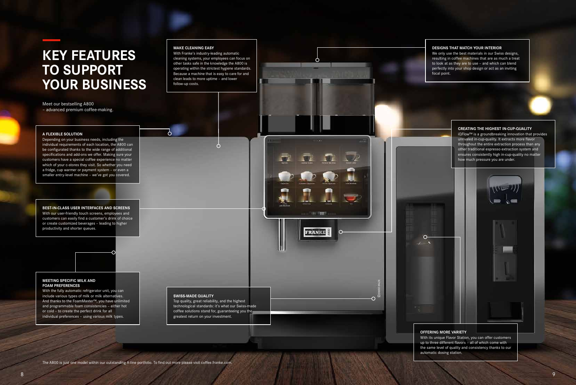Meet our bestselling A800 – advanced premium coffee-making.

The A800 is just one model within our outstanding A-line portfolio. To find out more please visit coffee.franke.com.

## **KEY FEATURES TO SUPPORT YOUR BUSINESS**

**BEST-IN-CLASS USER INTERFACES AND SCREENS** 

With our user-friendly touch screens, employees and customers can easily find a customer's drink of choice or create customized beverages – leading to higher productivity and shorter queues.

#### **MEETING SPECIFIC MILK AND FOAM PREFERENCES**

With the fully automatic refrigerator unit, you can include various types of milk or milk alternatives. And thanks to the FoamMaster™, you have unlimited and programmable foam consistencies – either hot or cold – to create the perfect drink for all individual preferences – using various milk types.

#### **MAKE CLEANING EASY**

With Franke's industry-leading automatic cleaning systems, your employees can focus on other tasks safe in the knowledge the A800 is operating within the strictest hygiene standards. Because a machine that is easy to care for and clean leads to more uptime – and lower follow-up costs.

#### **SWISS-MADE QUALITY**

Top quality, great reliability, and the highest technological standards: it's what our Swiss-made coffee solutions stand for, guaranteeing you the greatest return on your investment.

FRANKE

#### **DESIGNS THAT MATCH YOUR INTERIOR**

We only use the best materials in our Swiss designs, resulting in coffee machines that are as much a treat to look at as they are to use – and which can blend perfectly into your shop design or act as an inviting focal point.

#### **CREATING THE HIGHEST IN-CUP-QUALITY**

iQFlow™ is a groundbreaking innovation that provides unrivaled in-cup-quality. It extracts more flavor throughout the entire extraction process than any other traditional espresso extraction system and ensures consistently high in-cup-quality no matter how much pressure you are under.

#### **OFFERING MORE VARIETY**

 $\circ$ 

 $\overline{\bigcirc}$ 

With its unique Flavor Station, you can offer customers up to three different flavors – all of which come with the same level of quality and consistency thanks to our automatic dosing station.

#### **A FLEXIBLE SOLUTION**

Depending on your business needs, including the individual requirements of each location, the A800 can be configurated thanks to the wide range of additional specifications and add-ons we offer. Making sure your customers have a special coffee experience no matter which of your c-stores they visit. So whether you need a fridge, cup warmer or payment system – or even a smaller entry-level machine – we've got you covered.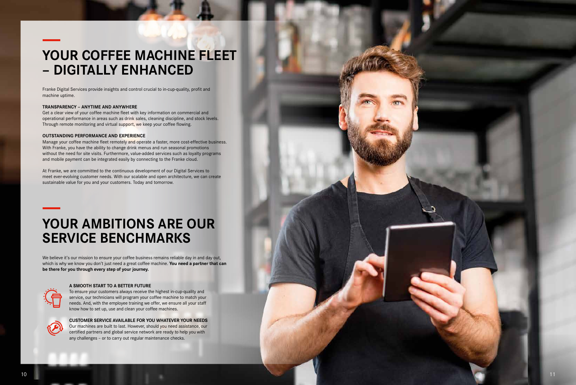Franke Digital Services provide insights and control crucial to in-cup-quality, profit and machine uptime.

Get a clear view of your coffee machine fleet with key information on commercial and operational performance in areas such as drink sales, cleaning discipline, and stock levels. Through remote monitoring and virtual support, we keep your coffee flowing.

#### **TRANSPARENCY – ANYTIME AND ANYWHERE**

#### **OUTSTANDING PERFORMANCE AND EXPERIENCE**

Manage your coffee machine fleet remotely and operate a faster, more cost-effective business. With Franke, you have the ability to change drink menus and run seasonal promotions without the need for site visits. Furthermore, value-added services such as loyalty programs and mobile payment can be integrated easily by connecting to the Franke cloud.

We believe it's our mission to ensure your coffee business remains reliable day in and day out, which is why we know you don't just need a great coffee machine. **You need a partner that can be there for you through every step of your journey.** 



At Franke, we are committed to the continuous development of our Digital Services to meet ever-evolving customer needs. With our scalable and open architecture, we can create sustainable value for you and your customers. Today and tomorrow.

## **YOUR COFFEE MACHINE FLEET – DIGITALLY ENHANCED**

## **YOUR AMBITIONS ARE OUR SERVICE BENCHMARKS**

#### **A SMOOTH START TO A BETTER FUTURE**

To ensure your customers always receive the highest in-cup-quality and service, our technicians will program your coffee machine to match your needs. And, with the employee training we offer, we ensure all your staff know how to set up, use and clean your coffee machines.



**CUSTOMER SERVICE AVAILABLE FOR YOU WHATEVER YOUR NEEDS** Our machines are built to last. However, should you need assistance, our certified partners and global service network are ready to help you with any challenges – or to carry out regular maintenance checks.